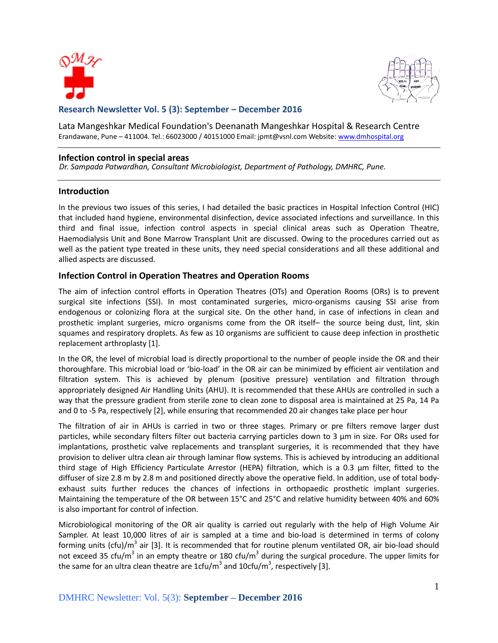



# **Research Newsletter Vol. 5 (3): September – December 2016**

Lata Mangeshkar Medical Foundation's Deenanath Mangeshkar Hospital & Research Centre Erandawane, Pune - 411004. Tel.: 66023000 / 40151000 Email: jpmt@vsnl.com Website: [www.dmhospital.org](http://www.dmhospital.org/)

#### **Infection control in special areas**

*Dr. Sampada Patwardhan, Consultant Microbiologist, Department of Pathology, DMHRC, Pune.*

### **Introduction**

In the previous two issues of this series, I had detailed the basic practices in Hospital Infection Control (HIC) that included hand hygiene, environmental disinfection, device associated infections and surveillance. In this third and final issue, infection control aspects in special clinical areas such as Operation Theatre, Haemodialysis Unit and Bone Marrow Transplant Unit are discussed. Owing to the procedures carried out as well as the patient type treated in these units, they need special considerations and all these additional and allied aspects are discussed.

### **Infection Control in Operation Theatres and Operation Rooms**

The aim of infection control efforts in Operation Theatres (OTs) and Operation Rooms (ORs) is to prevent surgical site infections (SSI). In most contaminated surgeries, micro-organisms causing SSI arise from endogenous or colonizing flora at the surgical site. On the other hand, in case of infections in clean and prosthetic implant surgeries, micro organisms come from the OR itself– the source being dust, lint, skin squames and respiratory droplets. As few as 10 organisms are sufficient to cause deep infection in prosthetic replacement arthroplasty [1].

In the OR, the level of microbial load is directly proportional to the number of people inside the OR and their thoroughfare. This microbial load or 'bio-load' in the OR air can be minimized by efficient air ventilation and filtration system. This is achieved by plenum (positive pressure) ventilation and filtration through appropriately designed Air Handling Units (AHU). It is recommended that these AHUs are controlled in such a way that the pressure gradient from sterile zone to clean zone to disposal area is maintained at 25 Pa, 14 Pa and 0 to -5 Pa, respectively [2], while ensuring that recommended 20 air changes take place per hour

The filtration of air in AHUs is carried in two or three stages. Primary or pre filters remove larger dust particles, while secondary filters filter out bacteria carrying particles down to 3 µm in size. For ORs used for implantations, prosthetic valve replacements and transplant surgeries, it is recommended that they have provision to deliver ultra clean air through laminar flow systems. This is achieved by introducing an additional third stage of High Efficiency Particulate Arrestor (HEPA) filtration, which is a 0.3 µm filter, fitted to the diffuser of size 2.8 m by 2.8 m and positioned directly above the operative field. In addition, use of total bodyexhaust suits further reduces the chances of infections in orthopaedic prosthetic implant surgeries. Maintaining the temperature of the OR between 15°C and 25°C and relative humidity between 40% and 60% is also important for control of infection.

Microbiological monitoring of the OR air quality is carried out regularly with the help of High Volume Air Sampler. At least 10,000 litres of air is sampled at a time and bio-load is determined in terms of colony forming units (cfu)/m<sup>3</sup> air [3]. It is recommended that for routine plenum ventilated OR, air bio-load should not exceed 35 cfu/m<sup>3</sup> in an empty theatre or 180 cfu/m<sup>3</sup> during the surgical procedure. The upper limits for the same for an ultra clean theatre are 1cfu/m<sup>3</sup> and 10cfu/m<sup>3</sup>, respectively [3].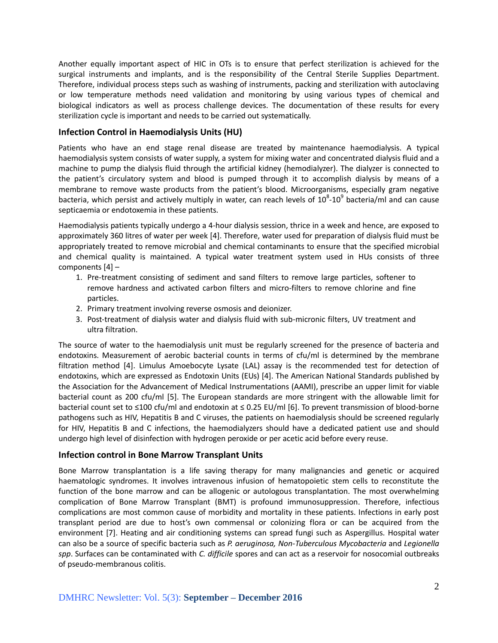Another equally important aspect of HIC in OTs is to ensure that perfect sterilization is achieved for the surgical instruments and implants, and is the responsibility of the Central Sterile Supplies Department. Therefore, individual process steps such as washing of instruments, packing and sterilization with autoclaving or low temperature methods need validation and monitoring by using various types of chemical and biological indicators as well as process challenge devices. The documentation of these results for every sterilization cycle is important and needs to be carried out systematically.

## **Infection Control in Haemodialysis Units (HU)**

Patients who have an end stage renal disease are treated by maintenance haemodialysis. A typical haemodialysis system consists of water supply, a system for mixing water and concentrated dialysis fluid and a machine to pump the dialysis fluid through the artificial kidney (hemodialyzer). The dialyzer is connected to the patient's circulatory system and blood is pumped through it to accomplish dialysis by means of a membrane to remove waste products from the patient's blood. Microorganisms, especially gram negative bacteria, which persist and actively multiply in water, can reach levels of  $10^8$ - $10^9$  bacteria/ml and can cause septicaemia or endotoxemia in these patients.

Haemodialysis patients typically undergo a 4-hour dialysis session, thrice in a week and hence, are exposed to approximately 360 litres of water per week [4]. Therefore, water used for preparation of dialysis fluid must be appropriately treated to remove microbial and chemical contaminants to ensure that the specified microbial and chemical quality is maintained. A typical water treatment system used in HUs consists of three components [4] –

- 1. Pre-treatment consisting of sediment and sand filters to remove large particles, softener to remove hardness and activated carbon filters and micro-filters to remove chlorine and fine particles.
- 2. Primary treatment involving reverse osmosis and deionizer.
- 3. Post-treatment of dialysis water and dialysis fluid with sub-micronic filters, UV treatment and ultra filtration.

The source of water to the haemodialysis unit must be regularly screened for the presence of bacteria and endotoxins. Measurement of aerobic bacterial counts in terms of cfu/ml is determined by the membrane filtration method [4]. Limulus Amoebocyte Lysate (LAL) assay is the recommended test for detection of endotoxins, which are expressed as Endotoxin Units (EUs) [4]. The American National Standards published by the Association for the Advancement of Medical Instrumentations (AAMI), prescribe an upper limit for viable bacterial count as 200 cfu/ml [5]. The European standards are more stringent with the allowable limit for bacterial count set to ≤100 cfu/ml and endotoxin at ≤ 0.25 EU/ml [6]. To prevent transmission of blood-borne pathogens such as HIV, Hepatitis B and C viruses, the patients on haemodialysis should be screened regularly for HIV, Hepatitis B and C infections, the haemodialyzers should have a dedicated patient use and should undergo high level of disinfection with hydrogen peroxide or per acetic acid before every reuse.

### **Infection control in Bone Marrow Transplant Units**

Bone Marrow transplantation is a life saving therapy for many malignancies and genetic or acquired haematologic syndromes. It involves intravenous infusion of hematopoietic stem cells to reconstitute the function of the bone marrow and can be allogenic or autologous transplantation. The most overwhelming complication of Bone Marrow Transplant (BMT) is profound immunosuppression. Therefore, infectious complications are most common cause of morbidity and mortality in these patients. Infections in early post transplant period are due to host's own commensal or colonizing flora or can be acquired from the environment [7]. Heating and air conditioning systems can spread fungi such as Aspergillus. Hospital water can also be a source of specific bacteria such as *P. aeruginosa, Non-Tuberculous Mycobacteria* and *Legionella spp*. Surfaces can be contaminated with *C. difficile* spores and can act as a reservoir for nosocomial outbreaks of pseudo-membranous colitis.